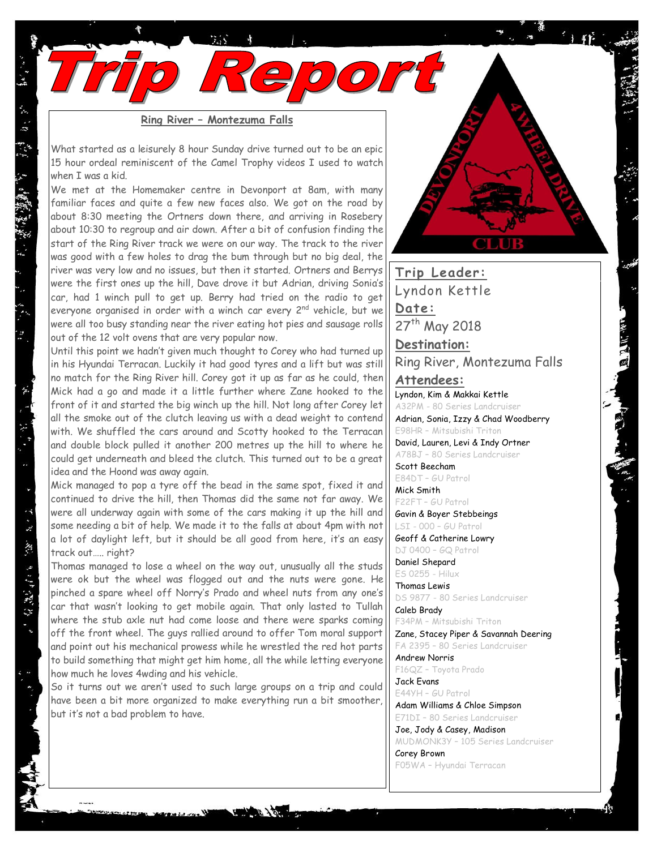**Ring River – Montezuma Falls**

What started as a leisurely 8 hour Sunday drive turned out to be an epic 15 hour ordeal reminiscent of the Camel Trophy videos I used to watch when I was a kid.

We met at the Homemaker centre in Devonport at 8am, with many familiar faces and quite a few new faces also. We got on the road by about 8:30 meeting the Ortners down there, and arriving in Rosebery about 10:30 to regroup and air down. After a bit of confusion finding the start of the Ring River track we were on our way. The track to the river was good with a few holes to drag the bum through but no big deal, the river was very low and no issues, but then it started. Ortners and Berrys were the first ones up the hill, Dave drove it but Adrian, driving Sonia's car, had 1 winch pull to get up. Berry had tried on the radio to get everyone organised in order with a winch car every 2<sup>nd</sup> vehicle, but we were all too busy standing near the river eating hot pies and sausage rolls out of the 12 volt ovens that are very popular now.

Until this point we hadn't given much thought to Corey who had turned up in his Hyundai Terracan. Luckily it had good tyres and a lift but was still no match for the Ring River hill. Corey got it up as far as he could, then Mick had a go and made it a little further where Zane hooked to the front of it and started the big winch up the hill. Not long after Corey let all the smoke out of the clutch leaving us with a dead weight to contend with. We shuffled the cars around and Scotty hooked to the Terracan and double block pulled it another 200 metres up the hill to where he could get underneath and bleed the clutch. This turned out to be a great idea and the Hoond was away again.

Mick managed to pop a tyre off the bead in the same spot, fixed it and continued to drive the hill, then Thomas did the same not far away. We were all underway again with some of the cars making it up the hill and some needing a bit of help. We made it to the falls at about 4pm with not a lot of daylight left, but it should be all good from here, it's an easy track out….. right?

Thomas managed to lose a wheel on the way out, unusually all the studs were ok but the wheel was flogged out and the nuts were gone. He pinched a spare wheel off Norry's Prado and wheel nuts from any one's car that wasn't looking to get mobile again. That only lasted to Tullah where the stub axle nut had come loose and there were sparks coming off the front wheel. The guys rallied around to offer Tom moral support and point out his mechanical prowess while he wrestled the red hot parts to build something that might get him home, all the while letting everyone how much he loves 4wding and his vehicle.

So it turns out we aren't used to such large groups on a trip and could have been a bit more organized to make everything run a bit smoother, but it's not a bad problem to have.



**Trip Leader:** Lyndon Kettle **Date:** 27<sup>th</sup> May 2018

**Destination:** Ring River, Montezuma Falls

**Attendees:**  Lyndon, Kim & Makkai Kettle

A32PM - 80 Series Landcruiser Adrian, Sonia, Izzy & Chad Woodberry

E98HR – Mitsubishi Triton David, Lauren, Levi & Indy Ortner

A78BJ – 80 Series Landcruiser Scott Beecham

E84DT – GU Patrol Mick Smith

F22FT – GU Patrol Gavin & Boyer Stebbeings

LSI - 000 – GU Patrol

Geoff & Catherine Lowry DJ 0400 – GQ Patrol

Daniel Shepard ES 0255 - Hilux

Thomas Lewis DS 9877 - 80 Series Landcruiser

Caleb Brady F34PM – Mitsubishi Triton

Zane, Stacey Piper & Savannah Deering FA 2395 – 80 Series Landcruiser

Andrew Norris F16QZ – Toyota Prado Jack Evans

E44YH – GU Patrol Adam Williams & Chloe Simpson

E71DI – 80 Series Landcruiser

Joe, Jody & Casey, Madison MUDMONK3Y – 105 Series Landcruiser Corey Brown

F05WA – Hyundai Terracan

 $\label{eq:R1} \begin{array}{lllllllllllllllllllll} \mathcal{M}_1^{\ast} & \mathcal{M}_2^{\ast} & \mathcal{M}_3^{\ast} & \mathcal{M}_4^{\ast} & \mathcal{M}_5^{\ast} & \mathcal{M}_6^{\ast} & \mathcal{M}_7 & \mathcal{M}_8 \end{array}$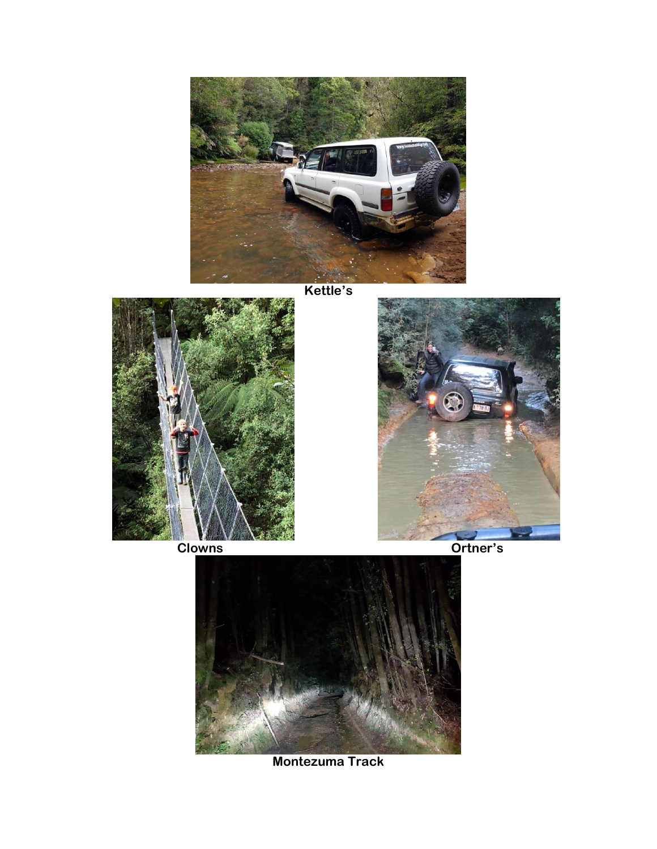

**Kettle's**







**Montezuma Track**